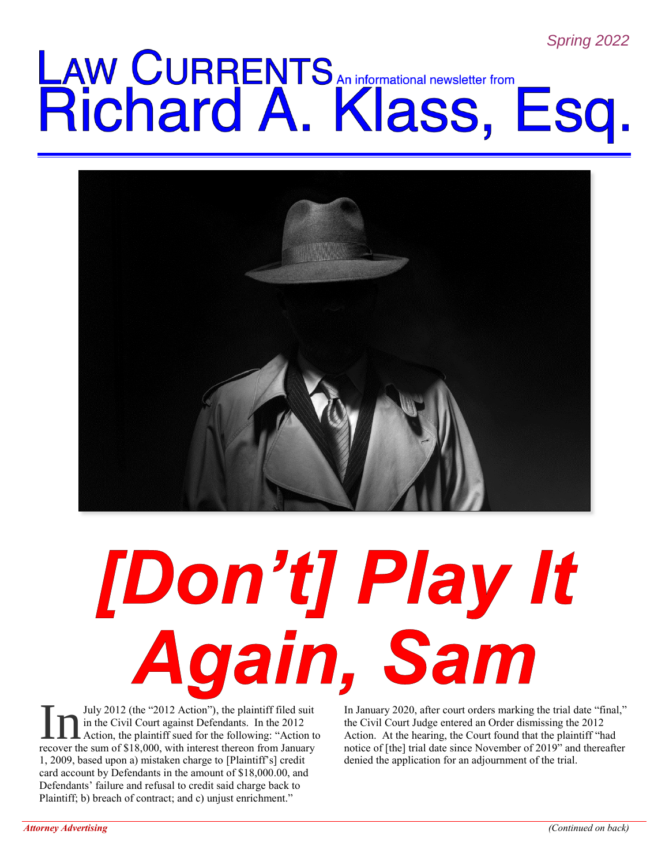# LAW CURRENTS An informational newsletter from<br>Richard A. Klass, Esq.



## [Don't] Play It Again, Sam

July 2012 (the "2012 Action"), the plaintiff filed suit in the Civil Court against Defendants. In the 2012 Action, the plaintiff sued for the following: "Action to July 2012 (the "2012 Action"), the plaintiff filed suit<br>in the Civil Court against Defendants. In the 2012<br>recover the sum of \$18,000, with interest thereon from January 1, 2009, based upon a) mistaken charge to [Plaintiff's] credit card account by Defendants in the amount of \$18,000.00, and Defendants' failure and refusal to credit said charge back to Plaintiff; b) breach of contract; and c) unjust enrichment."

In January 2020, after court orders marking the trial date "final," the Civil Court Judge entered an Order dismissing the 2012 Action. At the hearing, the Court found that the plaintiff "had notice of [the] trial date since November of 2019" and thereafter denied the application for an adjournment of the trial.